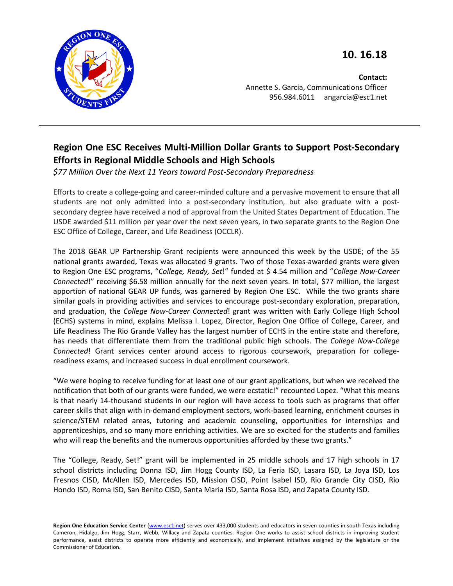**10. 16.18**



**Contact:** Annette S. Garcia, Communications Officer 956.984.6011 angarcia@esc1.net

## **Region One ESC Receives Multi-Million Dollar Grants to Support Post-Secondary Efforts in Regional Middle Schools and High Schools**

*\$77 Million Over the Next 11 Years toward Post-Secondary Preparedness*

Efforts to create a college-going and career-minded culture and a pervasive movement to ensure that all students are not only admitted into a post-secondary institution, but also graduate with a postsecondary degree have received a nod of approval from the United States Department of Education. The USDE awarded \$11 million per year over the next seven years, in two separate grants to the Region One ESC Office of College, Career, and Life Readiness (OCCLR).

The 2018 GEAR UP Partnership Grant recipients were announced this week by the USDE; of the 55 national grants awarded, Texas was allocated 9 grants. Two of those Texas-awarded grants were given to Region One ESC programs, "*College, Ready, Set*!" funded at \$ 4.54 million and "*College Now-Career Connected*!" receiving \$6.58 million annually for the next seven years. In total, \$77 million, the largest apportion of national GEAR UP funds, was garnered by Region One ESC. While the two grants share similar goals in providing activities and services to encourage post-secondary exploration, preparation, and graduation, the *College Now-Career Connected*! grant was written with Early College High School (ECHS) systems in mind, explains Melissa I. Lopez, Director, Region One Office of College, Career, and Life Readiness The Rio Grande Valley has the largest number of ECHS in the entire state and therefore, has needs that differentiate them from the traditional public high schools. The *College Now-College Connected*! Grant services center around access to rigorous coursework, preparation for collegereadiness exams, and increased success in dual enrollment coursework.

"We were hoping to receive funding for at least one of our grant applications, but when we received the notification that both of our grants were funded, we were ecstatic!" recounted Lopez. "What this means is that nearly 14-thousand students in our region will have access to tools such as programs that offer career skills that align with in-demand employment sectors, work-based learning, enrichment courses in science/STEM related areas, tutoring and academic counseling, opportunities for internships and apprenticeships, and so many more enriching activities. We are so excited for the students and families who will reap the benefits and the numerous opportunities afforded by these two grants."

The "College, Ready, Set!" grant will be implemented in 25 middle schools and 17 high schools in 17 school districts including Donna ISD, Jim Hogg County ISD, La Feria ISD, Lasara ISD, La Joya ISD, Los Fresnos CISD, McAllen ISD, Mercedes ISD, Mission CISD, Point Isabel ISD, Rio Grande City CISD, Rio Hondo ISD, Roma ISD, San Benito CISD, Santa Maria ISD, Santa Rosa ISD, and Zapata County ISD.

Region One Education Service Center [\(www.esc1.net\)](http://www.esc1.net/) serves over 433,000 students and educators in seven counties in south Texas including Cameron, Hidalgo, Jim Hogg, Starr, Webb, Willacy and Zapata counties. Region One works to assist school districts in improving student performance, assist districts to operate more efficiently and economically, and implement initiatives assigned by the legislature or the Commissioner of Education.